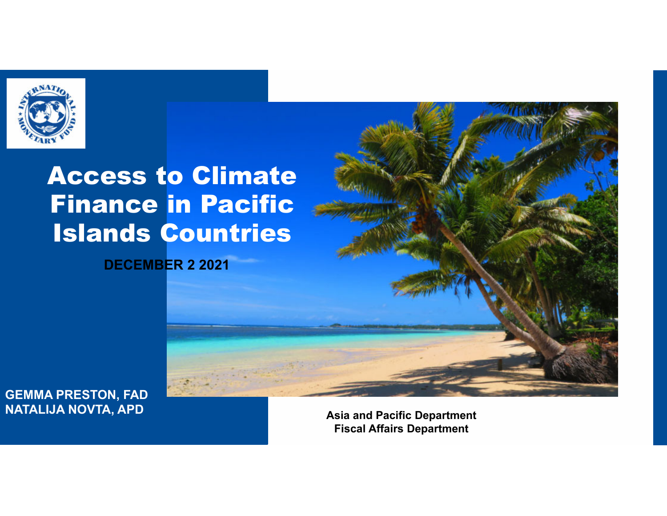

### Access to Climate Finance in Pacific Islands Countries

**DECEMBER 2 2021**

**GEMMA PRESTON, FAD NATALIJA NOVTA, APD**

**Asia and Pacific Department Fiscal Affairs Department**

,我们也不能在这里,我们也不能在这里,我们也不能在这里,我们也不能在这里,我们也不能在这里,我们也不能在这里,我们也不能在这里,我们也不能在这里,我们也不能在这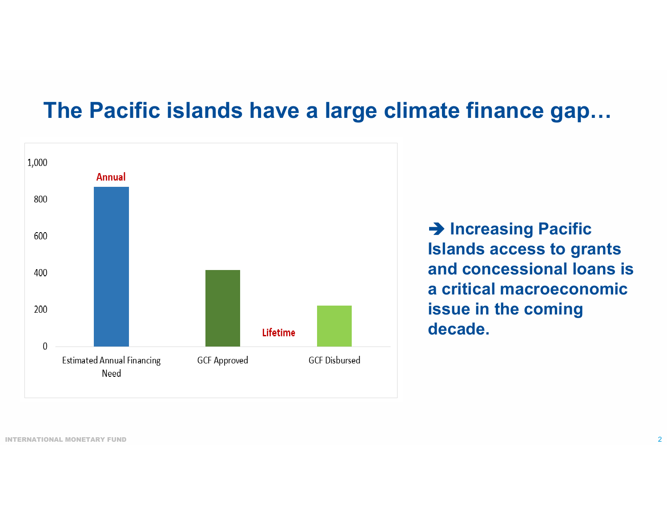#### **The Pacific islands have a large climate finance gap…**



**→ Increasing Pacific Islands access to grants and concessional loans is a critical macroeconomic issue in the coming decade.**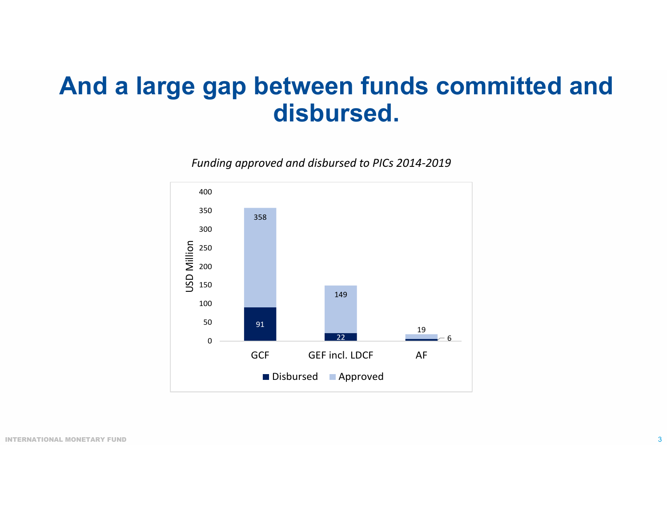#### **And a large gap between funds committed and disbursed.**



*Funding approved and disbursed to PICs 2014‐2019*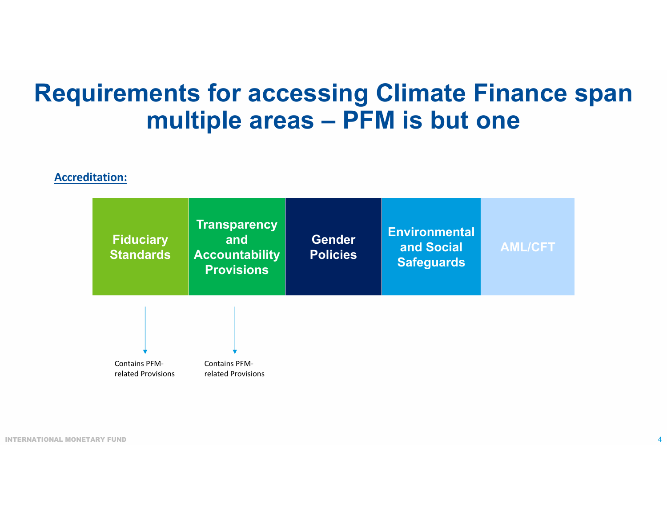#### **Requirements for accessing Climate Finance span multiple areas – PFM is but one**

#### **Accreditation:**

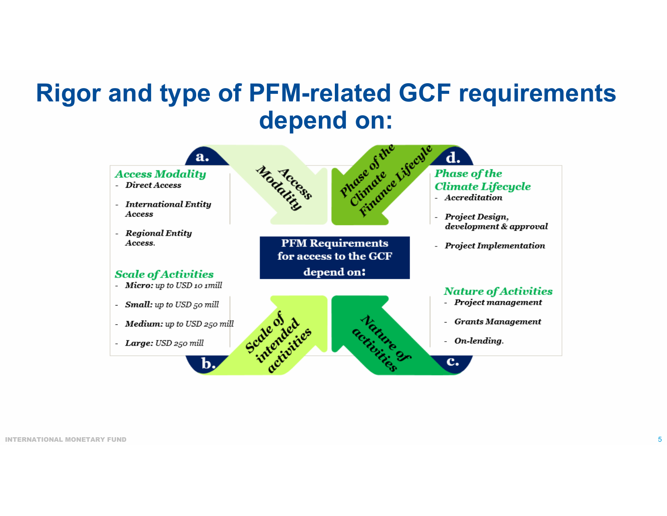# **Rigor and type of PFM-related GCF requirements**

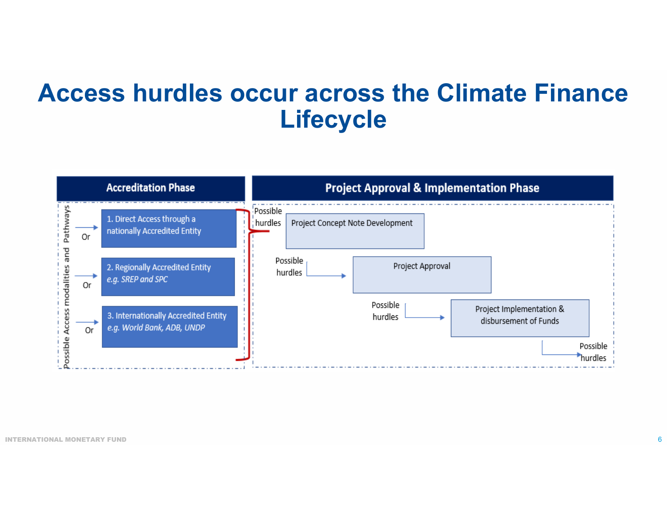#### **Access hurdles occur across the Climate Finance Lifecycle**

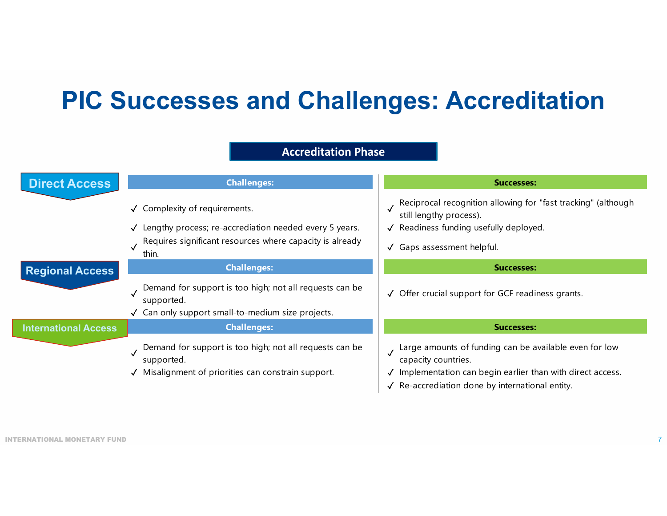### **PIC Successes and Challenges: Accreditation**

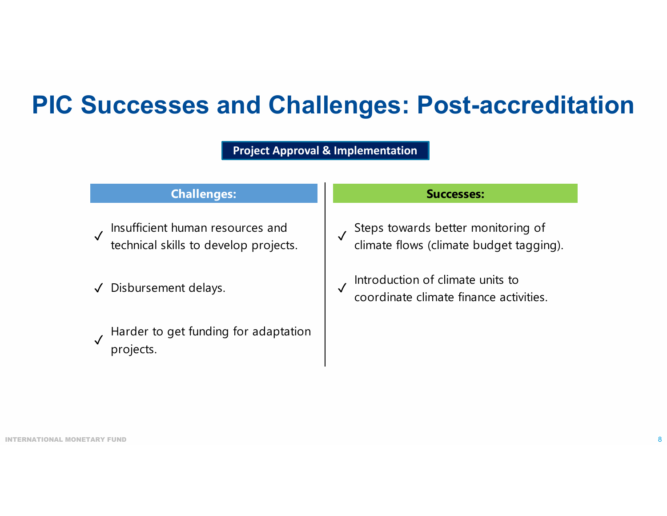#### **PIC Successes and Challenges: Post-accreditation**

**Project Approval & Implementation**

#### **Challenges: Successes:**

- ✓ Insufficient human resources and technical skills to develop projects.
- √ Disbursement delays.
- ✓ Harder to get funding for adaptation projects.

- ✓ Steps towards better monitoring of climate flows (climate budget tagging).
- $\sqrt{\frac{1}{100}}$  Introduction of climate units to coordinate climate finance activities.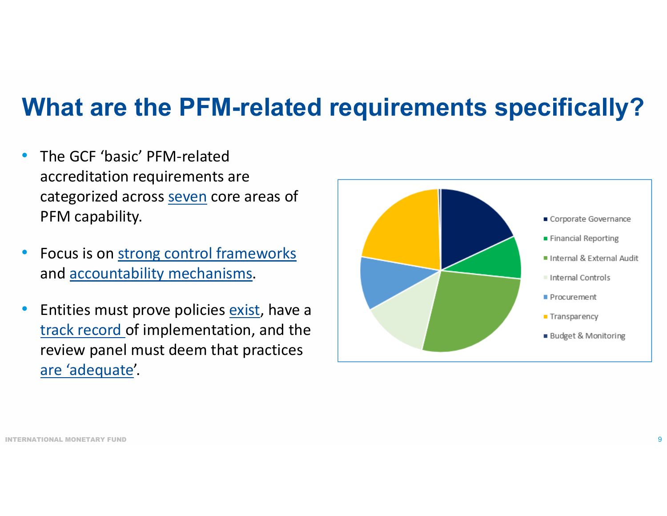### **What are the PFM-related requirements specifically?**

- • The GCF 'basic' PFM‐relatedaccreditation requirements are categorized across seven core areas of PFM capability.
- $\bullet$ • Focus is on strong control frameworks and <u>accountability mechanisms</u>.
- $\bullet$ **•** Entities must prove policies exist, have a track record of implementation, and the review panel must deem that practices are 'adequate'.

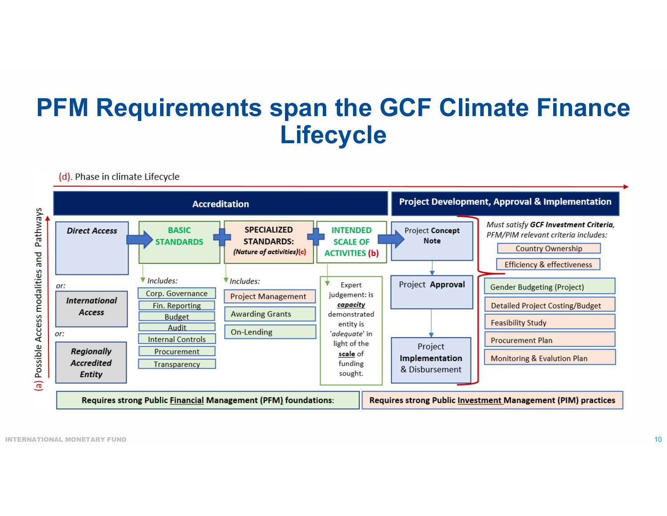#### **PFM Requirements span the GCF Climate Finance Lifecycle**



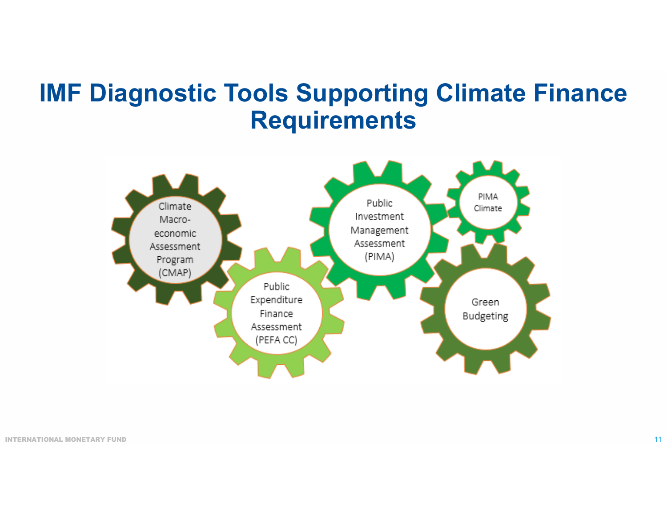#### **IMF Diagnostic Tools Supporting Climate Finance Requirements**

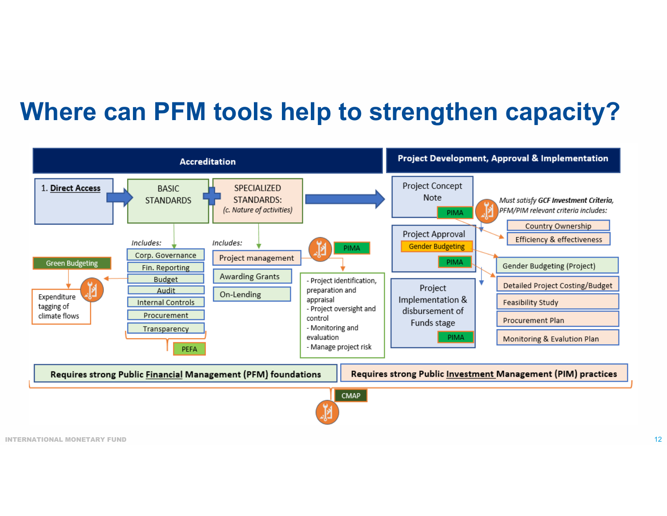### **Where can PFM tools help to strengthen capacity?**

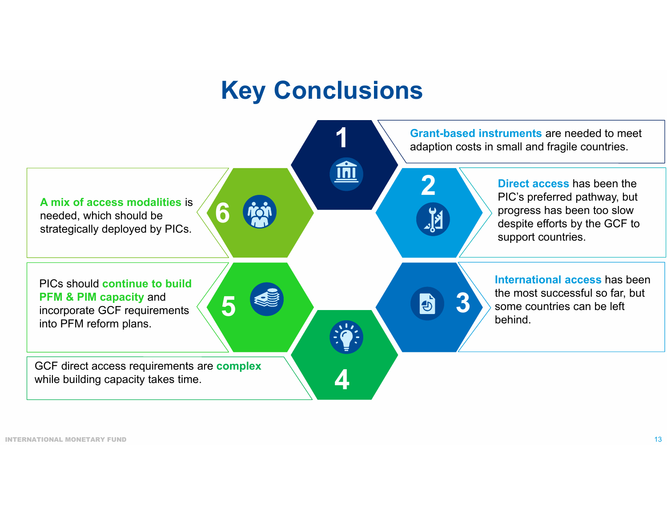#### **Key Conclusions**

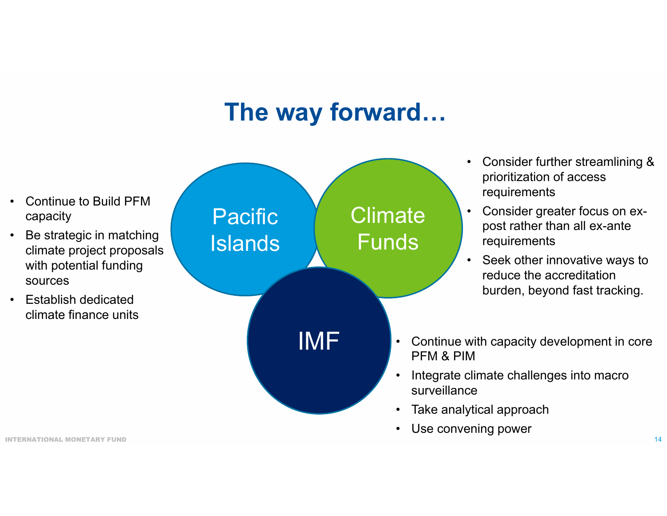#### **The way forward…**

- • Continue to Build PFM capacity • Be strategic in matching climate project proposals with potential funding sources• Establish dedicated climate finance units• Continue with capacity development in core PFM & PIM• Integrate climate challenges into macro surveillance• Consider further streamlining & prioritization of access requirements • Consider greater focus on expost rather than all ex-ante requirements • Seek other innovative ways to reduce the accreditation burden, beyond fast tracking. Pacific Islands **Climate** FundsIMF
	- •Take analytical approach
	- •Use convening power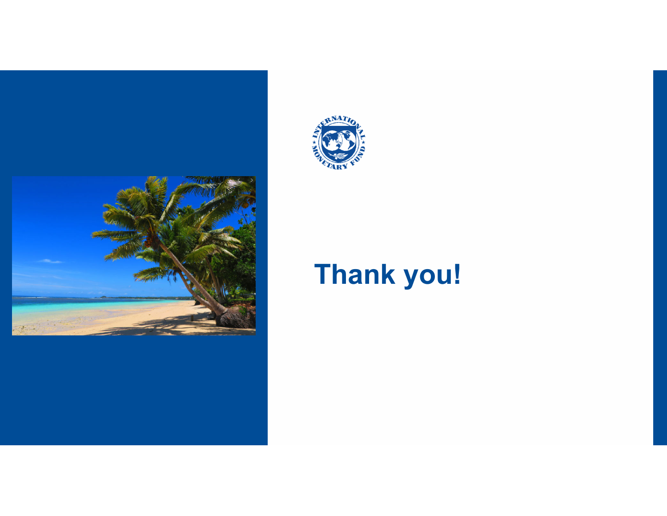



## **Thank you!**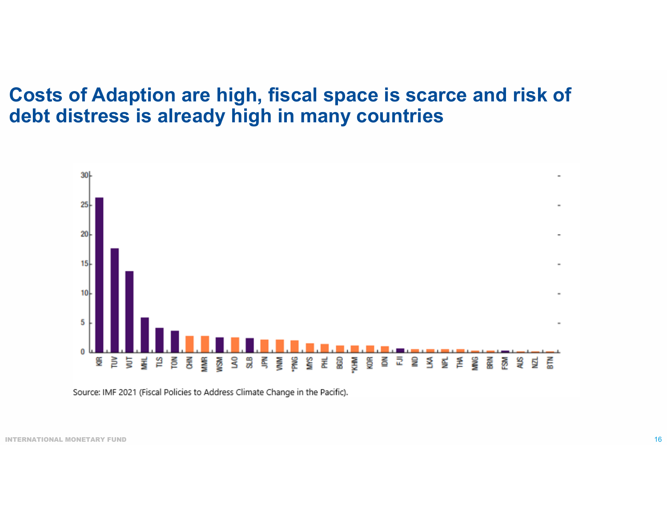#### **Costs of Adaption are high, fiscal space is scarce and risk of debt distress is already high in many countries**



Source: IMF 2021 (Fiscal Policies to Address Climate Change in the Pacific).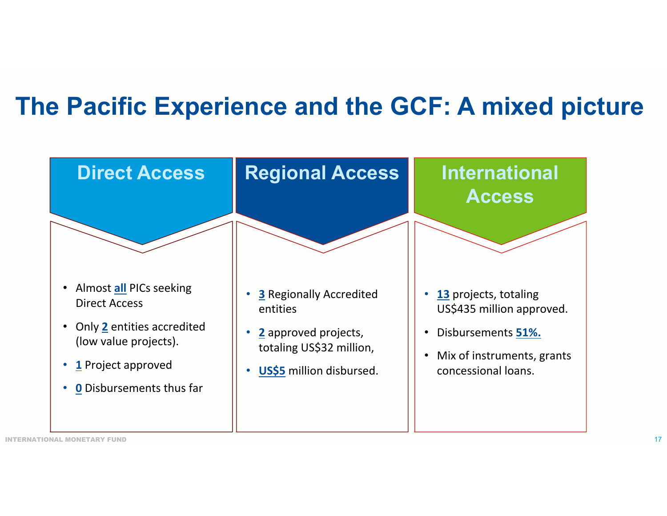### **The Pacific Experience and the GCF: A mixed picture**

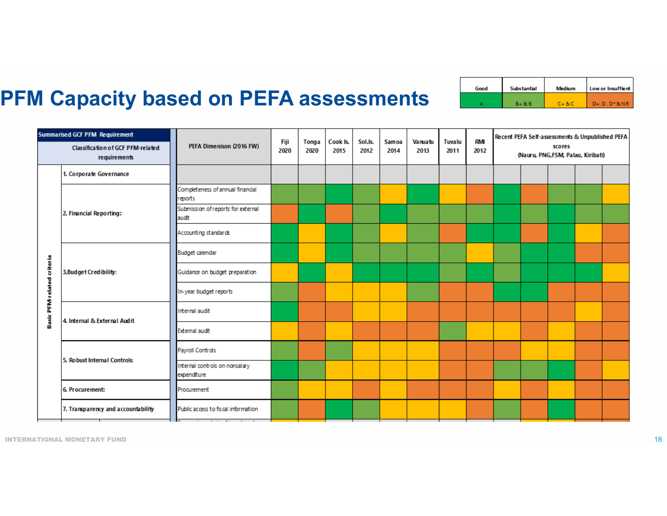| Good | Substantial | Medium      | Low or Insuffient    |  |  |  |  |
|------|-------------|-------------|----------------------|--|--|--|--|
|      | $B + 8$     | $C + B + C$ | $D+.$ $D.$ $D*8.$ NR |  |  |  |  |

#### **PFM Capacity based on PEFA assessments**

| <b>Summarised GCF PFM Requirement</b>                    |                                    | PEFA Dimenison (2016 FW)                      | Fiji<br>2020 | Tonga<br>2020 | Cook Is.<br>2015 | Sol.Is.<br>2012 | Samoa<br>2014 | Vanuatu<br>2013 | Tuvalu<br>2011 | <b>RMI</b><br>2012 | Recent PEFA Self-assessments & Unpublished PEFA |  |  |  |  |
|----------------------------------------------------------|------------------------------------|-----------------------------------------------|--------------|---------------|------------------|-----------------|---------------|-----------------|----------------|--------------------|-------------------------------------------------|--|--|--|--|
| <b>Classification of GCF PFM-related</b><br>requirements |                                    |                                               |              |               |                  |                 |               |                 |                |                    | scores<br>(Nauru, PNG, FSM, Palau, Kiribati)    |  |  |  |  |
| Basic PFM-related criteria                               | 1. Corporate Governance            |                                               |              |               |                  |                 |               |                 |                |                    |                                                 |  |  |  |  |
|                                                          | 2. Financial Reporting:            | Completeness of annual financial<br>reports   |              |               |                  |                 |               |                 |                |                    |                                                 |  |  |  |  |
|                                                          |                                    | Submission of reports for external<br>audit   |              |               |                  |                 |               |                 |                |                    |                                                 |  |  |  |  |
|                                                          |                                    | Accounting standards                          |              |               |                  |                 |               |                 |                |                    |                                                 |  |  |  |  |
|                                                          | 3. Budget Credibility:             | Budget calendar                               |              |               |                  |                 |               |                 |                |                    |                                                 |  |  |  |  |
|                                                          |                                    | Guidance on budget preparation                |              |               |                  |                 |               |                 |                |                    |                                                 |  |  |  |  |
|                                                          |                                    | In-year budget reports                        |              |               |                  |                 |               |                 |                |                    |                                                 |  |  |  |  |
|                                                          | 4. Internal & External Audit       | Internal audit                                |              |               |                  |                 |               |                 |                |                    |                                                 |  |  |  |  |
|                                                          |                                    | External audit                                |              |               |                  |                 |               |                 |                |                    |                                                 |  |  |  |  |
|                                                          | 5. Robust Internal Controls:       | Payroll Controls                              |              |               |                  |                 |               |                 |                |                    |                                                 |  |  |  |  |
|                                                          |                                    | Internal controls on nonsalary<br>expenditure |              |               |                  |                 |               |                 |                |                    |                                                 |  |  |  |  |
|                                                          | 6. Procurement:                    | Procurement                                   |              |               |                  |                 |               |                 |                |                    |                                                 |  |  |  |  |
|                                                          | 7. Transparency and accountability | Public access to fiscal information           |              |               |                  |                 |               |                 |                |                    |                                                 |  |  |  |  |